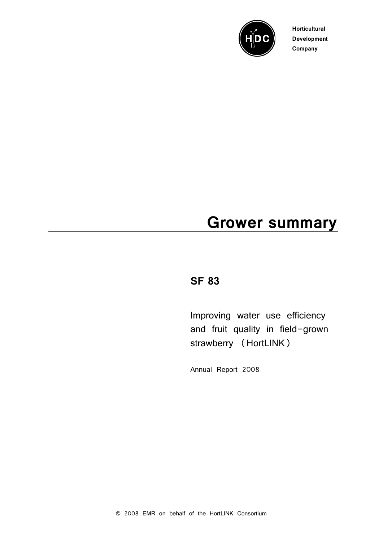

**Horticultural Development Company**

# **Grower summary**

# **SF 83**

Improving water use efficiency and fruit quality in field-grown strawberry (HortLINK)

Annual Report 2008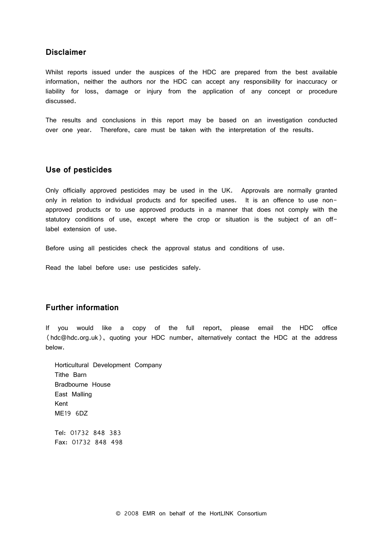# **Disclaimer**

Whilst reports issued under the auspices of the HDC are prepared from the best available information, neither the authors nor the HDC can accept any responsibility for inaccuracy or liability for loss, damage or injury from the application of any concept or procedure discussed.

The results and conclusions in this report may be based on an investigation conducted over one year. Therefore, care must be taken with the interpretation of the results.

#### **Use of pesticides**

Only officially approved pesticides may be used in the UK. Approvals are normally granted only in relation to individual products and for specified uses. It is an offence to use nonapproved products or to use approved products in a manner that does not comply with the statutory conditions of use, except where the crop or situation is the subject of an offlabel extension of use.

Before using all pesticides check the approval status and conditions of use.

Read the label before use: use pesticides safely.

# **Further information**

If you would like a copy of the full report, please email the HDC office (hdc@hdc.org.uk), quoting your HDC number, alternatively contact the HDC at the address below.

Horticultural Development Company Tithe Barn Bradbourne House East Malling Kent ME19 6DZ

Tel: 01732 848 383 Fax: 01732 848 498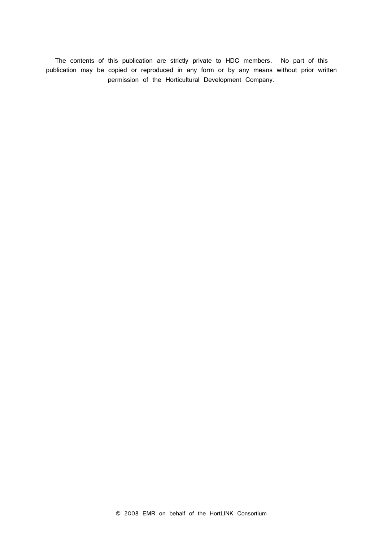The contents of this publication are strictly private to HDC members. No part of this publication may be copied or reproduced in any form or by any means without prior written permission of the Horticultural Development Company.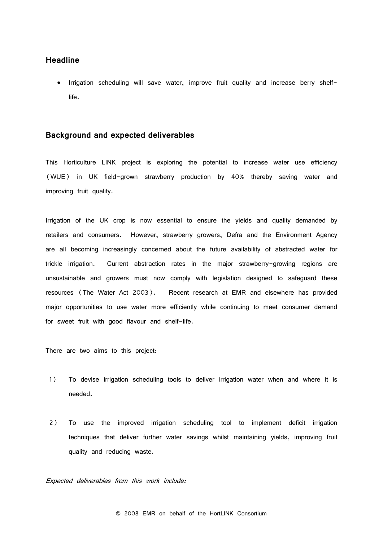### **Headline**

• Irrigation scheduling will save water, improve fruit quality and increase berry shelflife.

#### **Background and expected deliverables**

This Horticulture LINK project is exploring the potential to increase water use efficiency (WUE) in UK field-grown strawberry production by 40% thereby saving water and improving fruit quality.

Irrigation of the UK crop is now essential to ensure the yields and quality demanded by retailers and consumers. However, strawberry growers, Defra and the Environment Agency are all becoming increasingly concerned about the future availability of abstracted water for trickle irrigation. Current abstraction rates in the major strawberry-growing regions are unsustainable and growers must now comply with legislation designed to safeguard these resources (The Water Act 2003). Recent research at EMR and elsewhere has provided major opportunities to use water more efficiently while continuing to meet consumer demand for sweet fruit with good flavour and shelf-life.

There are two aims to this project:

- 1) To devise irrigation scheduling tools to deliver irrigation water when and where it is needed.
- 2) To use the improved irrigation scheduling tool to implement deficit irrigation techniques that deliver further water savings whilst maintaining yields, improving fruit quality and reducing waste.

Expected deliverables from this work include: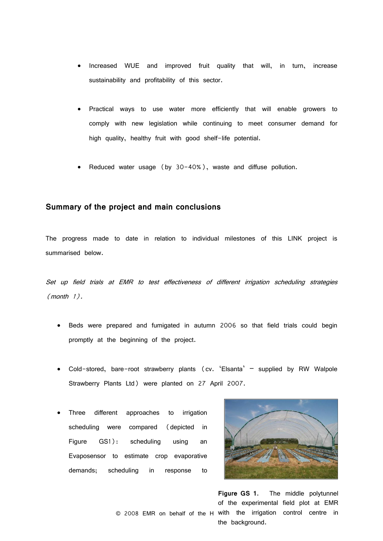- Increased WUE and improved fruit quality that will, in turn, increase sustainability and profitability of this sector.
- Practical ways to use water more efficiently that will enable growers to comply with new legislation while continuing to meet consumer demand for high quality, healthy fruit with good shelf-life potential.
- Reduced water usage (by 30-40%), waste and diffuse pollution.

#### **Summary of the project and main conclusions**

The progress made to date in relation to individual milestones of this LINK project is summarised below.

Set up field trials at EMR to test effectiveness of different irrigation scheduling strategies (month 1).

- Beds were prepared and fumigated in autumn 2006 so that field trials could begin promptly at the beginning of the project.
- Cold-stored, bare-root strawberry plants (cv. 'Elsanta' supplied by RW Walpole Strawberry Plants Ltd) were planted on 27 April 2007.
- Three different approaches to irrigation scheduling were compared (depicted in Figure GS1): scheduling using an Evaposensor to estimate crop evaporative demands; scheduling in response to



**Figure GS 1**. The middle polytunnel of the experimental field plot at EMR

© 2008 EMR on behalf of the H with the irrigation control centre in the background.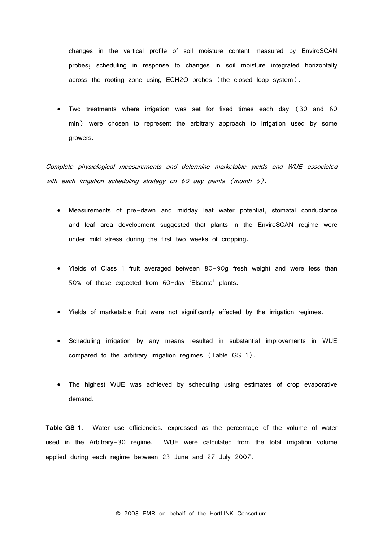changes in the vertical profile of soil moisture content measured by EnviroSCAN probes; scheduling in response to changes in soil moisture integrated horizontally across the rooting zone using ECH2O probes (the closed loop system).

• Two treatments where irrigation was set for fixed times each day (30 and 60 min) were chosen to represent the arbitrary approach to irrigation used by some growers.

Complete physiological measurements and determine marketable yields and WUE associated with each irrigation scheduling strategy on 60-day plants (month 6).

- Measurements of pre-dawn and midday leaf water potential, stomatal conductance and leaf area development suggested that plants in the EnviroSCAN regime were under mild stress during the first two weeks of cropping.
- Yields of Class 1 fruit averaged between 80-90g fresh weight and were less than 50% of those expected from 60-day 'Elsanta' plants.
- Yields of marketable fruit were not significantly affected by the irrigation regimes.
- Scheduling irrigation by any means resulted in substantial improvements in WUE compared to the arbitrary irrigation regimes (Table GS 1).
- The highest WUE was achieved by scheduling using estimates of crop evaporative demand.

**Table GS 1**. Water use efficiencies, expressed as the percentage of the volume of water used in the Arbitrary-30 regime. WUE were calculated from the total irrigation volume applied during each regime between 23 June and 27 July 2007.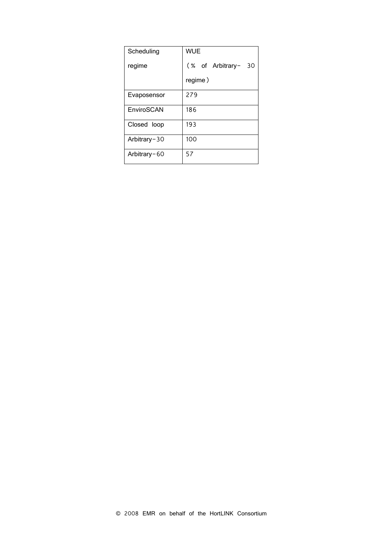| Scheduling   | WUE                 |
|--------------|---------------------|
| regime       | (% of Arbitrary- 30 |
|              | regime)             |
| Evaposensor  | 279                 |
| EnviroSCAN   | 186                 |
| Closed loop  | 193                 |
| Arbitrary-30 | 100                 |
| Arbitrary-60 | 57                  |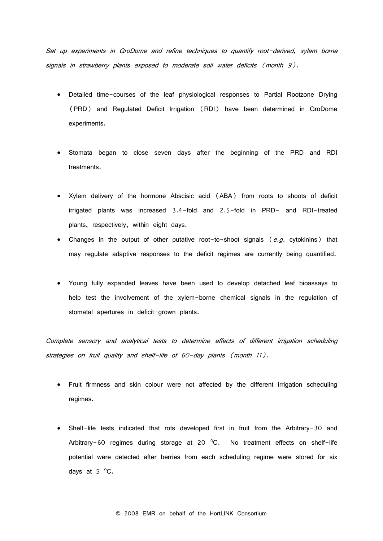Set up experiments in GroDome and refine techniques to quantify root-derived, xylem borne signals in strawberry plants exposed to moderate soil water deficits (month 9).

- Detailed time-courses of the leaf physiological responses to Partial Rootzone Drying (PRD) and Regulated Deficit Irrigation (RDI) have been determined in GroDome experiments.
- Stomata began to close seven days after the beginning of the PRD and RDI treatments.
- Xylem delivery of the hormone Abscisic acid (ABA) from roots to shoots of deficit irrigated plants was increased 3.4-fold and 2.5-fold in PRD- and RDI-treated plants, respectively, within eight days.
- Changes in the output of other putative root-to-shoot signals  $(e.g.$  cytokinins) that may regulate adaptive responses to the deficit regimes are currently being quantified.
- Young fully expanded leaves have been used to develop detached leaf bioassays to help test the involvement of the xylem-borne chemical signals in the regulation of stomatal apertures in deficit-grown plants.

Complete sensory and analytical tests to determine effects of different irrigation scheduling strategies on fruit quality and shelf-life of 60-day plants (month 11).

- Fruit firmness and skin colour were not affected by the different irrigation scheduling regimes.
- Shelf-life tests indicated that rots developed first in fruit from the Arbitrary-30 and Arbitrary-60 regimes during storage at 20  $^{\circ}$ C. No treatment effects on shelf-life potential were detected after berries from each scheduling regime were stored for six days at 5  $\mathrm{^{\circ}C}.$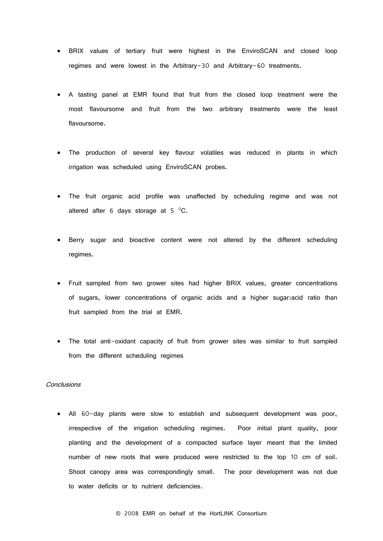- BRIX values of tertiary fruit were highest in the EnviroSCAN and closed loop regimes and were lowest in the Arbitrary-30 and Arbitrary-60 treatments.
- A tasting panel at EMR found that fruit from the closed loop treatment were the most flavoursome and fruit from the two arbitrary treatments were the least flavoursome.
- The production of several key flavour volatiles was reduced in plants in which irrigation was scheduled using EnviroSCAN probes.
- The fruit organic acid profile was unaffected by scheduling regime and was not altered after 6 days storage at 5  $^{\circ}$ C.
- Berry sugar and bioactive content were not altered by the different scheduling regimes.
- Fruit sampled from two grower sites had higher BRIX values, greater concentrations of sugars, lower concentrations of organic acids and a higher sugar:acid ratio than fruit sampled from the trial at EMR.
- The total anti-oxidant capacity of fruit from grower sites was similar to fruit sampled from the different scheduling regimes

#### **Conclusions**

• All 60-day plants were slow to establish and subsequent development was poor, irrespective of the irrigation scheduling regimes. Poor initial plant quality, poor planting and the development of a compacted surface layer meant that the limited number of new roots that were produced were restricted to the top 10 cm of soil. Shoot canopy area was correspondingly small. The poor development was not due to water deficits or to nutrient deficiencies.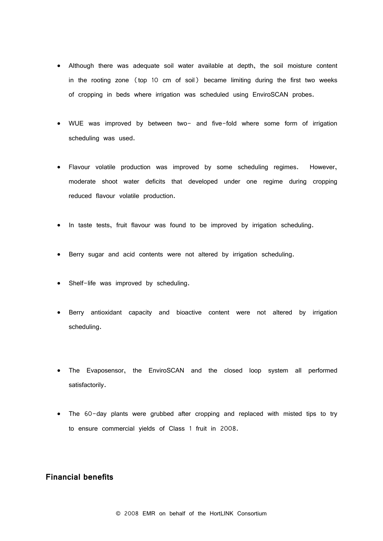- Although there was adequate soil water available at depth, the soil moisture content in the rooting zone (top 10 cm of soil) became limiting during the first two weeks of cropping in beds where irrigation was scheduled using EnviroSCAN probes.
- WUE was improved by between two- and five-fold where some form of irrigation scheduling was used.
- Flavour volatile production was improved by some scheduling regimes. However, moderate shoot water deficits that developed under one regime during cropping reduced flavour volatile production.
- In taste tests, fruit flavour was found to be improved by irrigation scheduling.
- Berry sugar and acid contents were not altered by irrigation scheduling.
- Shelf-life was improved by scheduling.
- Berry antioxidant capacity and bioactive content were not altered by irrigation scheduling.
- The Evaposensor, the EnviroSCAN and the closed loop system all performed satisfactorily.
- The 60-day plants were grubbed after cropping and replaced with misted tips to try to ensure commercial yields of Class 1 fruit in 2008.

# **Financial benefits**